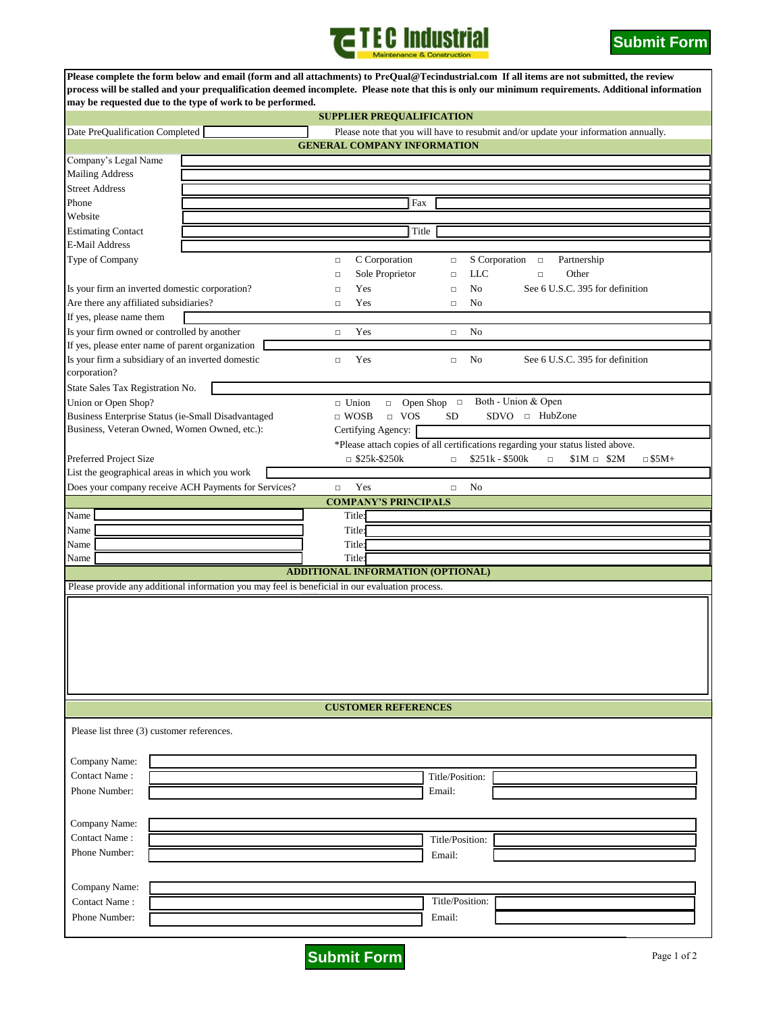



| Please complete the form below and email (form and all attachments) to PreQual@Tecindustrial.com If all items are not submitted, the review<br>process will be stalled and your prequalification deemed incomplete. Please note that this is only our minimum requirements. Additional information<br>may be requested due to the type of work to be performed. |  |                                                                                     |                           |                                                                                 |  |
|-----------------------------------------------------------------------------------------------------------------------------------------------------------------------------------------------------------------------------------------------------------------------------------------------------------------------------------------------------------------|--|-------------------------------------------------------------------------------------|---------------------------|---------------------------------------------------------------------------------|--|
| <b>SUPPLIER PREQUALIFICATION</b>                                                                                                                                                                                                                                                                                                                                |  |                                                                                     |                           |                                                                                 |  |
| Date PreQualification Completed                                                                                                                                                                                                                                                                                                                                 |  | Please note that you will have to resubmit and/or update your information annually. |                           |                                                                                 |  |
|                                                                                                                                                                                                                                                                                                                                                                 |  | <b>GENERAL COMPANY INFORMATION</b>                                                  |                           |                                                                                 |  |
| Company's Legal Name                                                                                                                                                                                                                                                                                                                                            |  |                                                                                     |                           |                                                                                 |  |
| <b>Mailing Address</b>                                                                                                                                                                                                                                                                                                                                          |  |                                                                                     |                           |                                                                                 |  |
| <b>Street Address</b>                                                                                                                                                                                                                                                                                                                                           |  |                                                                                     |                           |                                                                                 |  |
| Phone                                                                                                                                                                                                                                                                                                                                                           |  | Fax                                                                                 |                           |                                                                                 |  |
| Website                                                                                                                                                                                                                                                                                                                                                         |  |                                                                                     |                           |                                                                                 |  |
| Title                                                                                                                                                                                                                                                                                                                                                           |  |                                                                                     |                           |                                                                                 |  |
| <b>Estimating Contact</b><br><b>E-Mail Address</b>                                                                                                                                                                                                                                                                                                              |  |                                                                                     |                           |                                                                                 |  |
|                                                                                                                                                                                                                                                                                                                                                                 |  |                                                                                     |                           |                                                                                 |  |
| Type of Company                                                                                                                                                                                                                                                                                                                                                 |  | C Corporation<br>$\Box$                                                             | S Corporation<br>$\Box$   | Partnership<br>$\Box$                                                           |  |
| Is your firm an inverted domestic corporation?                                                                                                                                                                                                                                                                                                                  |  | Sole Proprietor<br>$\Box$                                                           | <b>LLC</b><br>$\Box$      | Other<br>$\Box$                                                                 |  |
|                                                                                                                                                                                                                                                                                                                                                                 |  | Yes<br>$\Box$                                                                       | No<br>$\Box$              | See 6 U.S.C. 395 for definition                                                 |  |
| Are there any affiliated subsidiaries?                                                                                                                                                                                                                                                                                                                          |  | Yes<br>$\Box$                                                                       | No<br>$\Box$              |                                                                                 |  |
| If yes, please name them                                                                                                                                                                                                                                                                                                                                        |  |                                                                                     |                           |                                                                                 |  |
| Is your firm owned or controlled by another                                                                                                                                                                                                                                                                                                                     |  | Yes<br>$\Box$                                                                       | No<br>$\Box$              |                                                                                 |  |
| If yes, please enter name of parent organization                                                                                                                                                                                                                                                                                                                |  |                                                                                     |                           |                                                                                 |  |
| Is your firm a subsidiary of an inverted domestic<br>corporation?                                                                                                                                                                                                                                                                                               |  | Yes<br>$\Box$                                                                       | No<br>$\Box$              | See 6 U.S.C. 395 for definition                                                 |  |
| State Sales Tax Registration No.                                                                                                                                                                                                                                                                                                                                |  |                                                                                     |                           |                                                                                 |  |
| Union or Open Shop?                                                                                                                                                                                                                                                                                                                                             |  | $\Box$ Union<br>$\Box$                                                              | Open Shop $\Box$          | Both - Union & Open                                                             |  |
| Business Enterprise Status (ie-Small Disadvantaged                                                                                                                                                                                                                                                                                                              |  | $\Box$ WOSB<br><b>VOS</b><br>$\Box$                                                 | SD                        |                                                                                 |  |
| Business, Veteran Owned, Women Owned, etc.):                                                                                                                                                                                                                                                                                                                    |  | Certifying Agency:                                                                  |                           |                                                                                 |  |
|                                                                                                                                                                                                                                                                                                                                                                 |  |                                                                                     |                           | *Please attach copies of all certifications regarding your status listed above. |  |
| Preferred Project Size                                                                                                                                                                                                                                                                                                                                          |  | $\Box$ \$25k-\$250k                                                                 | \$251k - \$500k<br>$\Box$ | $\subset$ \$5M+<br>$$1M \square$ \$2M<br>$\Box$                                 |  |
| List the geographical areas in which you work                                                                                                                                                                                                                                                                                                                   |  |                                                                                     |                           |                                                                                 |  |
| Does your company receive ACH Payments for Services?                                                                                                                                                                                                                                                                                                            |  | Yes<br>$\Box$                                                                       | No<br>$\Box$              |                                                                                 |  |
|                                                                                                                                                                                                                                                                                                                                                                 |  | <b>COMPANY'S PRINCIPALS</b>                                                         |                           |                                                                                 |  |
| Name                                                                                                                                                                                                                                                                                                                                                            |  | Title:                                                                              |                           |                                                                                 |  |
| Name                                                                                                                                                                                                                                                                                                                                                            |  | Title:                                                                              |                           |                                                                                 |  |
| Name                                                                                                                                                                                                                                                                                                                                                            |  | Title:                                                                              |                           |                                                                                 |  |
|                                                                                                                                                                                                                                                                                                                                                                 |  |                                                                                     |                           |                                                                                 |  |
| Title<br>Name                                                                                                                                                                                                                                                                                                                                                   |  |                                                                                     |                           |                                                                                 |  |
| <b>ADDITIONAL INFORMATION (OPTIONAL)</b>                                                                                                                                                                                                                                                                                                                        |  |                                                                                     |                           |                                                                                 |  |
| Please provide any additional information you may feel is beneficial in our evaluation process.                                                                                                                                                                                                                                                                 |  |                                                                                     |                           |                                                                                 |  |
|                                                                                                                                                                                                                                                                                                                                                                 |  |                                                                                     |                           |                                                                                 |  |
|                                                                                                                                                                                                                                                                                                                                                                 |  |                                                                                     |                           |                                                                                 |  |
|                                                                                                                                                                                                                                                                                                                                                                 |  |                                                                                     |                           |                                                                                 |  |
|                                                                                                                                                                                                                                                                                                                                                                 |  |                                                                                     |                           |                                                                                 |  |
|                                                                                                                                                                                                                                                                                                                                                                 |  |                                                                                     |                           |                                                                                 |  |
| <b>CUSTOMER REFERENCES</b>                                                                                                                                                                                                                                                                                                                                      |  |                                                                                     |                           |                                                                                 |  |
| Please list three (3) customer references.                                                                                                                                                                                                                                                                                                                      |  |                                                                                     |                           |                                                                                 |  |
|                                                                                                                                                                                                                                                                                                                                                                 |  |                                                                                     |                           |                                                                                 |  |
| Company Name:                                                                                                                                                                                                                                                                                                                                                   |  |                                                                                     |                           |                                                                                 |  |
| Contact Name:                                                                                                                                                                                                                                                                                                                                                   |  |                                                                                     | Title/Position:           |                                                                                 |  |
| Phone Number:                                                                                                                                                                                                                                                                                                                                                   |  |                                                                                     | Email:                    |                                                                                 |  |
|                                                                                                                                                                                                                                                                                                                                                                 |  |                                                                                     |                           |                                                                                 |  |
|                                                                                                                                                                                                                                                                                                                                                                 |  |                                                                                     |                           |                                                                                 |  |
| Company Name:                                                                                                                                                                                                                                                                                                                                                   |  |                                                                                     |                           |                                                                                 |  |
| Contact Name:                                                                                                                                                                                                                                                                                                                                                   |  |                                                                                     | Title/Position:           |                                                                                 |  |
| Phone Number:                                                                                                                                                                                                                                                                                                                                                   |  |                                                                                     | Email:                    |                                                                                 |  |
|                                                                                                                                                                                                                                                                                                                                                                 |  |                                                                                     |                           |                                                                                 |  |
| Company Name:                                                                                                                                                                                                                                                                                                                                                   |  |                                                                                     |                           |                                                                                 |  |
| Contact Name:                                                                                                                                                                                                                                                                                                                                                   |  |                                                                                     | Title/Position:           |                                                                                 |  |
|                                                                                                                                                                                                                                                                                                                                                                 |  |                                                                                     |                           |                                                                                 |  |
| Phone Number:                                                                                                                                                                                                                                                                                                                                                   |  |                                                                                     | Email:                    |                                                                                 |  |
|                                                                                                                                                                                                                                                                                                                                                                 |  |                                                                                     |                           |                                                                                 |  |